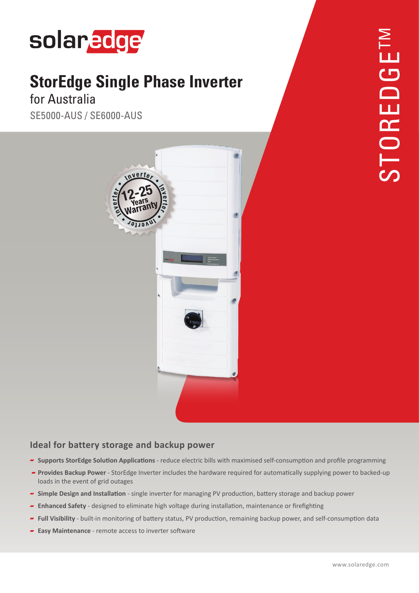

# **StorEdge Single Phase Inverter**

## for Australia

SE5000-AUS / SE6000-AUS



#### **Ideal for battery storage and backup power**

- **P** Supports StorEdge Solution Applications reduce electric bills with maximised self-consumption and profile programming
- **Provides Backup Power** StorEdge Inverter includes the hardware required for automatically supplying power to backed-up loads in the event of grid outages
- **Power band storage and installation** single inverter for managing PV production, battery storage and backup power
- **Firm 5 Firefighting or many or many or many or many or maintenance or firefighting**  $\blacksquare$  **Enhance** or firefighting
- Full Visibility built-in monitoring of battery status, PV production, remaining backup power, and self-consumption data
- **Easy Maintenance** remote access to inverter software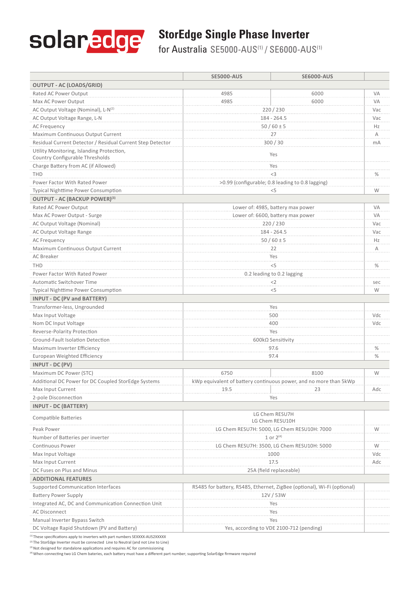

### **StorEdge Single Phase Inverter**

for Australia SE5000-AUS(1) / SE6000-AUS(1)

|                                                                              | <b>SE5000-AUS</b>                                                       | <b>SE6000-AUS</b> |      |
|------------------------------------------------------------------------------|-------------------------------------------------------------------------|-------------------|------|
| <b>OUTPUT - AC (LOADS/GRID)</b>                                              |                                                                         |                   |      |
| Rated AC Power Output                                                        | 4985                                                                    | 6000              | VA   |
| Max AC Power Output                                                          | 4985                                                                    | 6000              | VA   |
| AC Output Voltage (Nominal), L-N(2)                                          | 220/230                                                                 |                   | Vac  |
| AC Output Voltage Range, L-N                                                 | $184 - 264.5$                                                           |                   | Vac  |
| AC Frequency                                                                 | $50/60 \pm 5$                                                           |                   | Hz   |
| Maximum Continuous Output Current                                            | 27                                                                      |                   | Α    |
| Residual Current Detector / Residual Current Step Detector                   | 300/30                                                                  |                   | mA   |
| Utility Monitoring, Islanding Protection,<br>Country Configurable Thresholds | Yes                                                                     |                   |      |
| Charge Battery from AC (if Allowed)                                          | Yes                                                                     |                   |      |
| <b>THD</b>                                                                   | <3                                                                      |                   | $\%$ |
| Power Factor With Rated Power                                                | >0.99 (configurable; 0.8 leading to 0.8 lagging)                        |                   |      |
| <b>Typical Nighttime Power Consumption</b>                                   | $<$ 5                                                                   |                   | W    |
| OUTPUT - AC (BACKUP POWER)(3)                                                |                                                                         |                   |      |
| Rated AC Power Output                                                        | Lower of: 4985, battery max power                                       |                   | VA   |
| Max AC Power Output - Surge                                                  | Lower of: 6600, battery max power                                       |                   | VA   |
| AC Output Voltage (Nominal)                                                  | 220 / 230                                                               |                   | Vac  |
| AC Output Voltage Range                                                      | 184 - 264.5                                                             |                   | Vac  |
| <b>AC Frequency</b>                                                          | $50/60 \pm 5$                                                           |                   | Hz   |
| Maximum Continuous Output Current                                            | 22                                                                      |                   | A    |
| AC Breaker                                                                   | Yes                                                                     |                   |      |
| <b>THD</b>                                                                   | < 5                                                                     |                   | $\%$ |
| Power Factor With Rated Power                                                | 0.2 leading to 0.2 lagging                                              |                   |      |
| Automatic Switchover Time                                                    | $<$ 2                                                                   |                   | sec  |
| <b>Typical Nighttime Power Consumption</b>                                   | $<$ 5                                                                   |                   | W    |
| <b>INPUT - DC (PV and BATTERY)</b>                                           |                                                                         |                   |      |
| Transformer-less, Ungrounded                                                 | Yes                                                                     |                   |      |
| Max Input Voltage                                                            | 500                                                                     |                   | Vdc  |
| Nom DC Input Voltage                                                         | 400                                                                     |                   | Vdc  |
| Reverse-Polarity Protection                                                  | Yes                                                                     |                   |      |
| Ground-Fault Isolation Detection                                             | 600kΩ Sensitivity                                                       |                   |      |
| Maximum Inverter Efficiency                                                  | 97.6                                                                    |                   | $\%$ |
| European Weighted Efficiency                                                 | 97.4                                                                    |                   | $\%$ |
| INPUT - DC (PV)                                                              |                                                                         |                   |      |
| Maximum DC Power (STC)                                                       | 6750                                                                    | 8100              | W    |
| Additional DC Power for DC Coupled StorEdge Systems                          | kWp equivalent of battery continuous power, and no more than 5kWp       |                   |      |
| Max Input Current                                                            | 19.5                                                                    |                   | Adc  |
| 2-pole Disconnection                                                         | Yes                                                                     |                   |      |
| <b>INPUT - DC (BATTERY)</b>                                                  |                                                                         |                   |      |
| <b>Compatible Batteries</b>                                                  | LG Chem RESU7H<br>LG Chem RESU10H                                       |                   |      |
| Peak Power                                                                   | LG Chem RESU7H: 5000, LG Chem RESU10H: 7000                             |                   | W    |
| Number of Batteries per inverter                                             | 1 or $2^{(4)}$                                                          |                   |      |
| Continuous Power                                                             | LG Chem RESU7H: 3500, LG Chem RESU10H: 5000                             |                   | W    |
| Max Input Voltage                                                            | 1000                                                                    |                   | Vdc  |
| Max Input Current                                                            | 17.5                                                                    |                   | Adc  |
| DC Fuses on Plus and Minus                                                   | 25A (field replaceable)                                                 |                   |      |
| <b>ADDITIONAL FEATURES</b>                                                   |                                                                         |                   |      |
| Supported Communication Interfaces                                           | RS485 for battery, RS485, Ethernet, ZigBee (optional), Wi-Fi (optional) |                   |      |
| <b>Battery Power Supply</b>                                                  | 12V/53W                                                                 |                   |      |
| Integrated AC, DC and Communication Connection Unit                          |                                                                         | Yes               |      |
| <b>AC Disconnect</b>                                                         | Yes                                                                     |                   |      |
| Manual Inverter Bypass Switch                                                | Yes                                                                     |                   |      |
| DC Voltage Rapid Shutdown (PV and Battery)                                   | Yes, according to VDE 2100-712 (pending)                                |                   |      |
|                                                                              |                                                                         |                   |      |

 $<sup>(1)</sup>$  These specifications apply to inverters with part numbers SEXXXX-AUS2XXXXX</sup>

(2) The StorEdge Inverter must be connected Line to Neutral (and not Line to Line) (3) Not designed for standalone applications and requires AC for commissioning

<sup>(4)</sup> When connecting two LG Chem bateries, each battery must have a different part number; supporting SolarEdge firmware required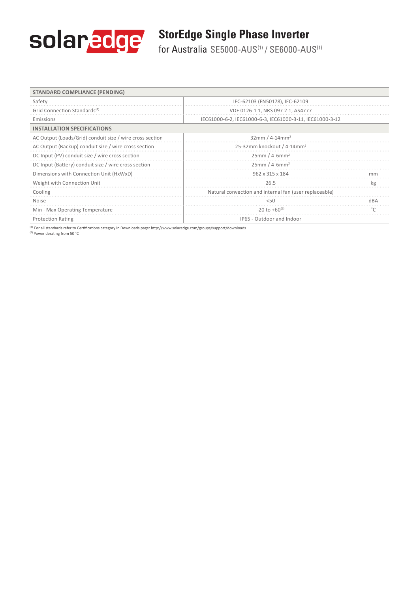

### **StorEdge Single Phase Inverter**

for Australia SE5000-AUS(1) / SE6000-AUS(1)

| <b>STANDARD COMPLIANCE (PENDING)</b>                     |                                                          |           |
|----------------------------------------------------------|----------------------------------------------------------|-----------|
| Safety                                                   | IEC-62103 (EN50178), IEC-62109                           |           |
| Grid Connection Standards <sup>(4)</sup>                 | VDE 0126-1-1, NRS 097-2-1, AS4777                        |           |
| Emissions                                                | IEC61000-6-2, IEC61000-6-3, IEC61000-3-11, IEC61000-3-12 |           |
| <b>INSTALLATION SPECIFICATIONS</b>                       |                                                          |           |
| AC Output (Loads/Grid) conduit size / wire cross section | 32mm / 4-14mm <sup>2</sup>                               |           |
| AC Output (Backup) conduit size / wire cross section     | 25-32mm knockout / 4-14mm <sup>2</sup>                   |           |
| DC Input (PV) conduit size / wire cross section          | $25mm/4-6mm2$                                            |           |
| DC Input (Battery) conduit size / wire cross section     | $25mm/4-6mm2$                                            |           |
| Dimensions with Connection Unit (HxWxD)                  | 962 x 315 x 184                                          | mm        |
| Weight with Connection Unit                              | 26.5                                                     | kg        |
| Cooling                                                  | Natural convection and internal fan (user replaceable)   |           |
| <b>Noise</b>                                             | 5(1)                                                     | dBA       |
| Min - Max Operating Temperature                          | $-20$ to $+60^{(5)}$                                     | $\degree$ |
| <b>Protection Rating</b>                                 | IP65 - Outdoor and Indoor                                |           |

<sup>(4)</sup> For all standards refer to Certifications category in Downloads page: http://www.solaredge.com/groups/support/downloads <sup>(5)</sup> Power derating from 50 °C